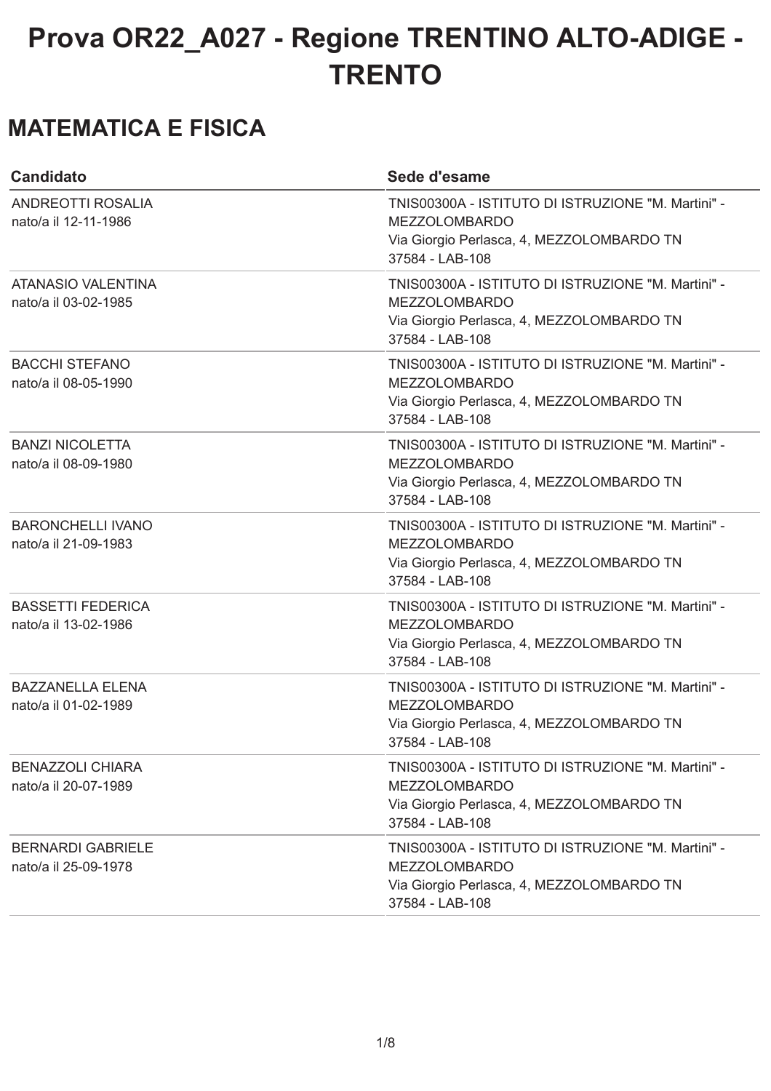#### **MATEMATICA E FISICA**

| <b>Candidato</b>                                  | Sede d'esame                                                                                                                               |
|---------------------------------------------------|--------------------------------------------------------------------------------------------------------------------------------------------|
| ANDREOTTI ROSALIA<br>nato/a il 12-11-1986         | TNIS00300A - ISTITUTO DI ISTRUZIONE "M. Martini" -<br><b>MEZZOLOMBARDO</b><br>Via Giorgio Perlasca, 4, MEZZOLOMBARDO TN<br>37584 - LAB-108 |
| <b>ATANASIO VALENTINA</b><br>nato/a il 03-02-1985 | TNIS00300A - ISTITUTO DI ISTRUZIONE "M. Martini" -<br><b>MEZZOLOMBARDO</b><br>Via Giorgio Perlasca, 4, MEZZOLOMBARDO TN<br>37584 - LAB-108 |
| <b>BACCHI STEFANO</b><br>nato/a il 08-05-1990     | TNIS00300A - ISTITUTO DI ISTRUZIONE "M. Martini" -<br><b>MEZZOLOMBARDO</b><br>Via Giorgio Perlasca, 4, MEZZOLOMBARDO TN<br>37584 - LAB-108 |
| <b>BANZI NICOLETTA</b><br>nato/a il 08-09-1980    | TNIS00300A - ISTITUTO DI ISTRUZIONE "M. Martini" -<br><b>MEZZOLOMBARDO</b><br>Via Giorgio Perlasca, 4, MEZZOLOMBARDO TN<br>37584 - LAB-108 |
| <b>BARONCHELLI IVANO</b><br>nato/a il 21-09-1983  | TNIS00300A - ISTITUTO DI ISTRUZIONE "M. Martini" -<br><b>MEZZOLOMBARDO</b><br>Via Giorgio Perlasca, 4, MEZZOLOMBARDO TN<br>37584 - LAB-108 |
| <b>BASSETTI FEDERICA</b><br>nato/a il 13-02-1986  | TNIS00300A - ISTITUTO DI ISTRUZIONE "M. Martini" -<br><b>MEZZOLOMBARDO</b><br>Via Giorgio Perlasca, 4, MEZZOLOMBARDO TN<br>37584 - LAB-108 |
| <b>BAZZANELLA ELENA</b><br>nato/a il 01-02-1989   | TNIS00300A - ISTITUTO DI ISTRUZIONE "M. Martini" -<br><b>MEZZOLOMBARDO</b><br>Via Giorgio Perlasca, 4, MEZZOLOMBARDO TN<br>37584 - LAB-108 |
| <b>BENAZZOLI CHIARA</b><br>nato/a il 20-07-1989   | TNIS00300A - ISTITUTO DI ISTRUZIONE "M. Martini" -<br><b>MEZZOLOMBARDO</b><br>Via Giorgio Perlasca, 4, MEZZOLOMBARDO TN<br>37584 - LAB-108 |
| <b>BERNARDI GABRIELE</b><br>nato/a il 25-09-1978  | TNIS00300A - ISTITUTO DI ISTRUZIONE "M. Martini" -<br><b>MEZZOLOMBARDO</b><br>Via Giorgio Perlasca, 4, MEZZOLOMBARDO TN<br>37584 - LAB-108 |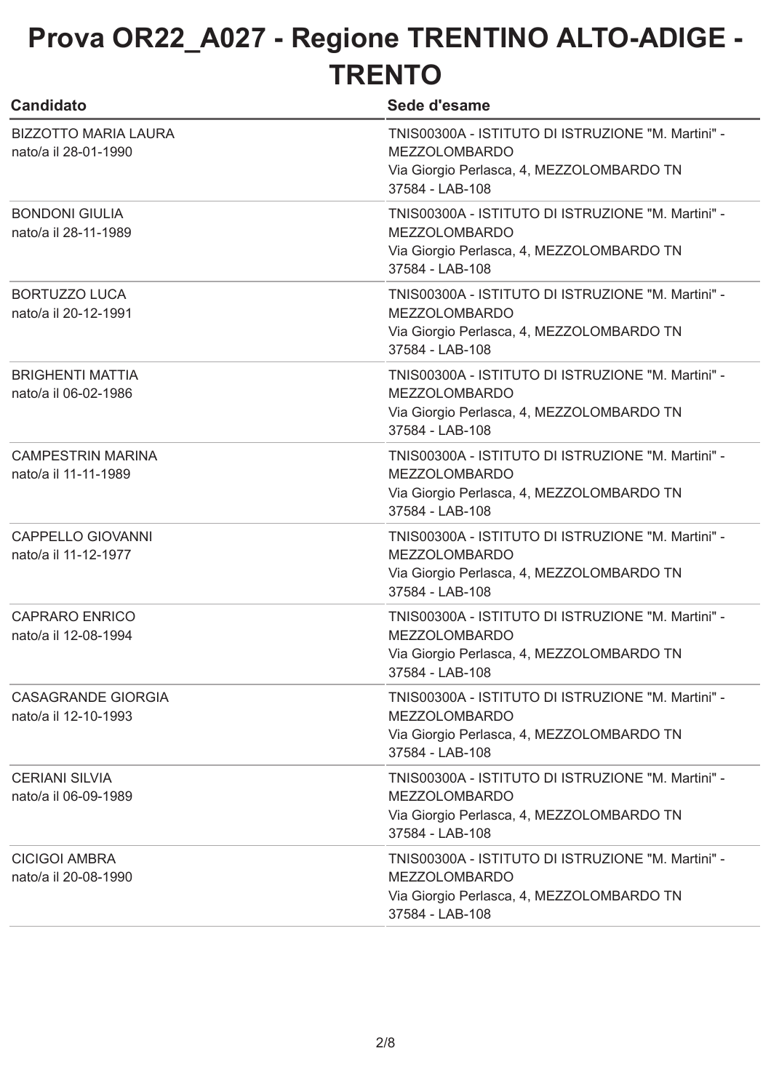| <b>Candidato</b>                                    | Sede d'esame                                                                                                                               |
|-----------------------------------------------------|--------------------------------------------------------------------------------------------------------------------------------------------|
| <b>BIZZOTTO MARIA LAURA</b><br>nato/a il 28-01-1990 | TNIS00300A - ISTITUTO DI ISTRUZIONE "M. Martini" -<br><b>MEZZOLOMBARDO</b><br>Via Giorgio Perlasca, 4, MEZZOLOMBARDO TN<br>37584 - LAB-108 |
| <b>BONDONI GIULIA</b><br>nato/a il 28-11-1989       | TNIS00300A - ISTITUTO DI ISTRUZIONE "M. Martini" -<br><b>MEZZOLOMBARDO</b><br>Via Giorgio Perlasca, 4, MEZZOLOMBARDO TN<br>37584 - LAB-108 |
| <b>BORTUZZO LUCA</b><br>nato/a il 20-12-1991        | TNIS00300A - ISTITUTO DI ISTRUZIONE "M. Martini" -<br><b>MEZZOLOMBARDO</b><br>Via Giorgio Perlasca, 4, MEZZOLOMBARDO TN<br>37584 - LAB-108 |
| <b>BRIGHENTI MATTIA</b><br>nato/a il 06-02-1986     | TNIS00300A - ISTITUTO DI ISTRUZIONE "M. Martini" -<br><b>MEZZOLOMBARDO</b><br>Via Giorgio Perlasca, 4, MEZZOLOMBARDO TN<br>37584 - LAB-108 |
| <b>CAMPESTRIN MARINA</b><br>nato/a il 11-11-1989    | TNIS00300A - ISTITUTO DI ISTRUZIONE "M. Martini" -<br><b>MEZZOLOMBARDO</b><br>Via Giorgio Perlasca, 4, MEZZOLOMBARDO TN<br>37584 - LAB-108 |
| <b>CAPPELLO GIOVANNI</b><br>nato/a il 11-12-1977    | TNIS00300A - ISTITUTO DI ISTRUZIONE "M. Martini" -<br><b>MEZZOLOMBARDO</b><br>Via Giorgio Perlasca, 4, MEZZOLOMBARDO TN<br>37584 - LAB-108 |
| <b>CAPRARO ENRICO</b><br>nato/a il 12-08-1994       | TNIS00300A - ISTITUTO DI ISTRUZIONE "M. Martini" -<br><b>MEZZOLOMBARDO</b><br>Via Giorgio Perlasca, 4, MEZZOLOMBARDO TN<br>37584 - LAB-108 |
| CASAGRANDE GIORGIA<br>nato/a il 12-10-1993          | TNIS00300A - ISTITUTO DI ISTRUZIONE "M. Martini" -<br><b>MEZZOLOMBARDO</b><br>Via Giorgio Perlasca, 4, MEZZOLOMBARDO TN<br>37584 - LAB-108 |
| <b>CERIANI SILVIA</b><br>nato/a il 06-09-1989       | TNIS00300A - ISTITUTO DI ISTRUZIONE "M. Martini" -<br><b>MEZZOLOMBARDO</b><br>Via Giorgio Perlasca, 4, MEZZOLOMBARDO TN<br>37584 - LAB-108 |
| <b>CICIGOI AMBRA</b><br>nato/a il 20-08-1990        | TNIS00300A - ISTITUTO DI ISTRUZIONE "M. Martini" -<br><b>MEZZOLOMBARDO</b><br>Via Giorgio Perlasca, 4, MEZZOLOMBARDO TN<br>37584 - LAB-108 |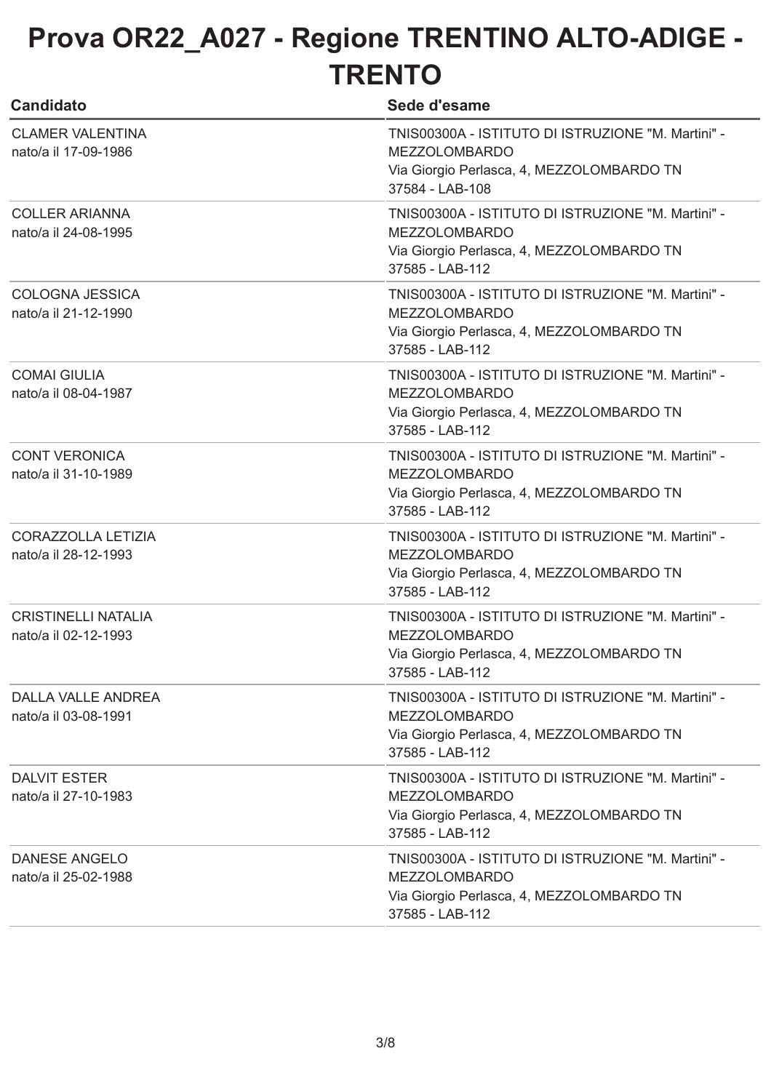| <b>Candidato</b>                                   | Sede d'esame                                                                                                                               |
|----------------------------------------------------|--------------------------------------------------------------------------------------------------------------------------------------------|
| <b>CLAMER VALENTINA</b><br>nato/a il 17-09-1986    | TNIS00300A - ISTITUTO DI ISTRUZIONE "M. Martini" -<br><b>MEZZOLOMBARDO</b><br>Via Giorgio Perlasca, 4, MEZZOLOMBARDO TN<br>37584 - LAB-108 |
| <b>COLLER ARIANNA</b><br>nato/a il 24-08-1995      | TNIS00300A - ISTITUTO DI ISTRUZIONE "M. Martini" -<br><b>MEZZOLOMBARDO</b><br>Via Giorgio Perlasca, 4, MEZZOLOMBARDO TN<br>37585 - LAB-112 |
| <b>COLOGNA JESSICA</b><br>nato/a il 21-12-1990     | TNIS00300A - ISTITUTO DI ISTRUZIONE "M. Martini" -<br><b>MEZZOLOMBARDO</b><br>Via Giorgio Perlasca, 4, MEZZOLOMBARDO TN<br>37585 - LAB-112 |
| <b>COMAI GIULIA</b><br>nato/a il 08-04-1987        | TNIS00300A - ISTITUTO DI ISTRUZIONE "M. Martini" -<br><b>MEZZOLOMBARDO</b><br>Via Giorgio Perlasca, 4, MEZZOLOMBARDO TN<br>37585 - LAB-112 |
| <b>CONT VERONICA</b><br>nato/a il 31-10-1989       | TNIS00300A - ISTITUTO DI ISTRUZIONE "M. Martini" -<br><b>MEZZOLOMBARDO</b><br>Via Giorgio Perlasca, 4, MEZZOLOMBARDO TN<br>37585 - LAB-112 |
| <b>CORAZZOLLA LETIZIA</b><br>nato/a il 28-12-1993  | TNIS00300A - ISTITUTO DI ISTRUZIONE "M. Martini" -<br><b>MEZZOLOMBARDO</b><br>Via Giorgio Perlasca, 4, MEZZOLOMBARDO TN<br>37585 - LAB-112 |
| <b>CRISTINELLI NATALIA</b><br>nato/a il 02-12-1993 | TNIS00300A - ISTITUTO DI ISTRUZIONE "M. Martini" -<br><b>MEZZOLOMBARDO</b><br>Via Giorgio Perlasca, 4, MEZZOLOMBARDO TN<br>37585 - LAB-112 |
| <b>DALLA VALLE ANDREA</b><br>nato/a il 03-08-1991  | TNIS00300A - ISTITUTO DI ISTRUZIONE "M. Martini" -<br><b>MEZZOLOMBARDO</b><br>Via Giorgio Perlasca, 4, MEZZOLOMBARDO TN<br>37585 - LAB-112 |
| <b>DALVIT ESTER</b><br>nato/a il 27-10-1983        | TNIS00300A - ISTITUTO DI ISTRUZIONE "M. Martini" -<br><b>MEZZOLOMBARDO</b><br>Via Giorgio Perlasca, 4, MEZZOLOMBARDO TN<br>37585 - LAB-112 |
| <b>DANESE ANGELO</b><br>nato/a il 25-02-1988       | TNIS00300A - ISTITUTO DI ISTRUZIONE "M. Martini" -<br><b>MEZZOLOMBARDO</b><br>Via Giorgio Perlasca, 4, MEZZOLOMBARDO TN<br>37585 - LAB-112 |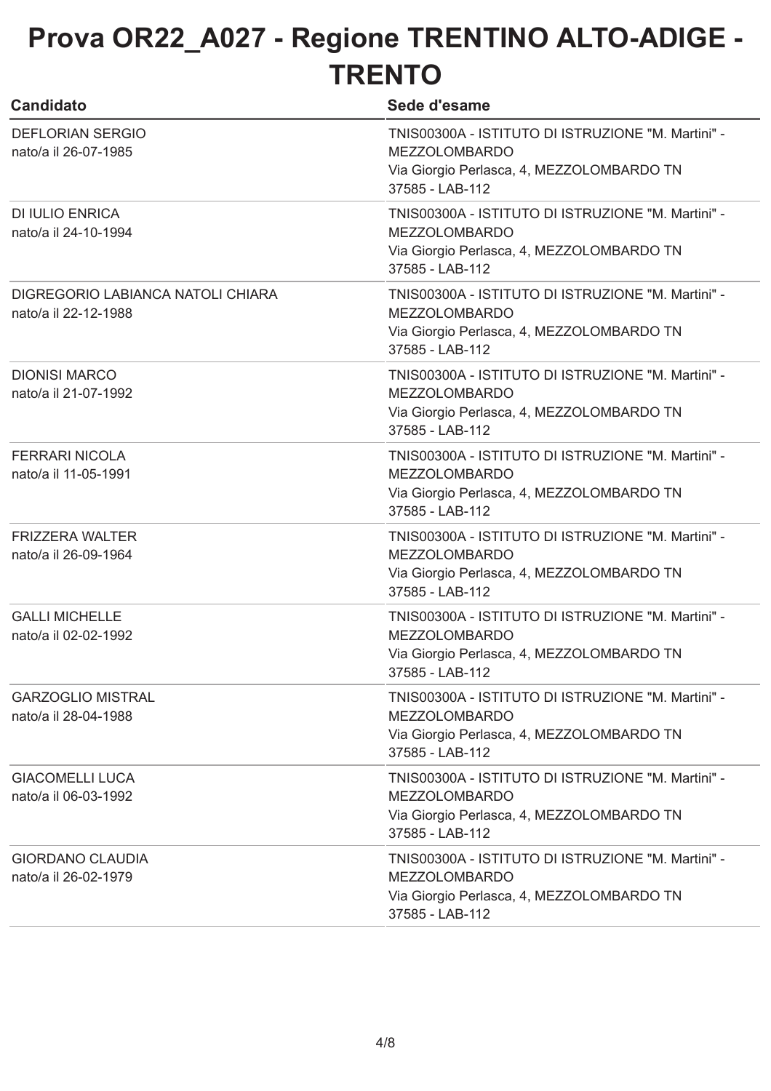| <b>Candidato</b>                                          | Sede d'esame                                                                                                                               |
|-----------------------------------------------------------|--------------------------------------------------------------------------------------------------------------------------------------------|
| <b>DEFLORIAN SERGIO</b><br>nato/a il 26-07-1985           | TNIS00300A - ISTITUTO DI ISTRUZIONE "M. Martini" -<br><b>MEZZOLOMBARDO</b><br>Via Giorgio Perlasca, 4, MEZZOLOMBARDO TN<br>37585 - LAB-112 |
| <b>DI IULIO ENRICA</b><br>nato/a il 24-10-1994            | TNIS00300A - ISTITUTO DI ISTRUZIONE "M. Martini" -<br><b>MEZZOLOMBARDO</b><br>Via Giorgio Perlasca, 4, MEZZOLOMBARDO TN<br>37585 - LAB-112 |
| DIGREGORIO LABIANCA NATOLI CHIARA<br>nato/a il 22-12-1988 | TNIS00300A - ISTITUTO DI ISTRUZIONE "M. Martini" -<br><b>MEZZOLOMBARDO</b><br>Via Giorgio Perlasca, 4, MEZZOLOMBARDO TN<br>37585 - LAB-112 |
| <b>DIONISI MARCO</b><br>nato/a il 21-07-1992              | TNIS00300A - ISTITUTO DI ISTRUZIONE "M. Martini" -<br><b>MEZZOLOMBARDO</b><br>Via Giorgio Perlasca, 4, MEZZOLOMBARDO TN<br>37585 - LAB-112 |
| <b>FERRARI NICOLA</b><br>nato/a il 11-05-1991             | TNIS00300A - ISTITUTO DI ISTRUZIONE "M. Martini" -<br><b>MEZZOLOMBARDO</b><br>Via Giorgio Perlasca, 4, MEZZOLOMBARDO TN<br>37585 - LAB-112 |
| <b>FRIZZERA WALTER</b><br>nato/a il 26-09-1964            | TNIS00300A - ISTITUTO DI ISTRUZIONE "M. Martini" -<br><b>MEZZOLOMBARDO</b><br>Via Giorgio Perlasca, 4, MEZZOLOMBARDO TN<br>37585 - LAB-112 |
| <b>GALLI MICHELLE</b><br>nato/a il 02-02-1992             | TNIS00300A - ISTITUTO DI ISTRUZIONE "M. Martini" -<br><b>MEZZOLOMBARDO</b><br>Via Giorgio Perlasca, 4, MEZZOLOMBARDO TN<br>37585 - LAB-112 |
| <b>GARZOGLIO MISTRAL</b><br>nato/a il 28-04-1988          | TNIS00300A - ISTITUTO DI ISTRUZIONE "M. Martini" -<br><b>MEZZOLOMBARDO</b><br>Via Giorgio Perlasca, 4, MEZZOLOMBARDO TN<br>37585 - LAB-112 |
| <b>GIACOMELLI LUCA</b><br>nato/a il 06-03-1992            | TNIS00300A - ISTITUTO DI ISTRUZIONE "M. Martini" -<br><b>MEZZOLOMBARDO</b><br>Via Giorgio Perlasca, 4, MEZZOLOMBARDO TN<br>37585 - LAB-112 |
| <b>GIORDANO CLAUDIA</b><br>nato/a il 26-02-1979           | TNIS00300A - ISTITUTO DI ISTRUZIONE "M. Martini" -<br><b>MEZZOLOMBARDO</b><br>Via Giorgio Perlasca, 4, MEZZOLOMBARDO TN<br>37585 - LAB-112 |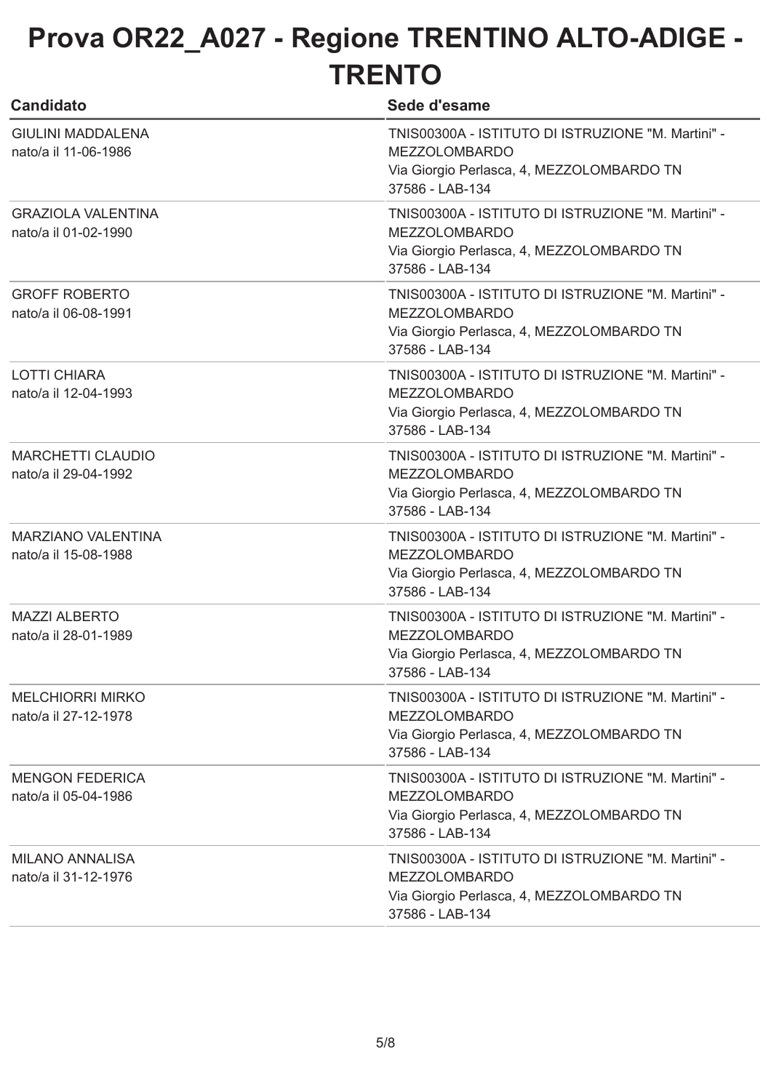| <b>Candidato</b>                                  | Sede d'esame                                                                                                                               |
|---------------------------------------------------|--------------------------------------------------------------------------------------------------------------------------------------------|
| <b>GIULINI MADDALENA</b><br>nato/a il 11-06-1986  | TNIS00300A - ISTITUTO DI ISTRUZIONE "M. Martini" -<br><b>MEZZOLOMBARDO</b><br>Via Giorgio Perlasca, 4, MEZZOLOMBARDO TN<br>37586 - LAB-134 |
| <b>GRAZIOLA VALENTINA</b><br>nato/a il 01-02-1990 | TNIS00300A - ISTITUTO DI ISTRUZIONE "M. Martini" -<br><b>MEZZOLOMBARDO</b><br>Via Giorgio Perlasca, 4, MEZZOLOMBARDO TN<br>37586 - LAB-134 |
| <b>GROFF ROBERTO</b><br>nato/a il 06-08-1991      | TNIS00300A - ISTITUTO DI ISTRUZIONE "M. Martini" -<br><b>MEZZOLOMBARDO</b><br>Via Giorgio Perlasca, 4, MEZZOLOMBARDO TN<br>37586 - LAB-134 |
| <b>LOTTI CHIARA</b><br>nato/a il 12-04-1993       | TNIS00300A - ISTITUTO DI ISTRUZIONE "M. Martini" -<br><b>MEZZOLOMBARDO</b><br>Via Giorgio Perlasca, 4, MEZZOLOMBARDO TN<br>37586 - LAB-134 |
| <b>MARCHETTI CLAUDIO</b><br>nato/a il 29-04-1992  | TNIS00300A - ISTITUTO DI ISTRUZIONE "M. Martini" -<br><b>MEZZOLOMBARDO</b><br>Via Giorgio Perlasca, 4, MEZZOLOMBARDO TN<br>37586 - LAB-134 |
| <b>MARZIANO VALENTINA</b><br>nato/a il 15-08-1988 | TNIS00300A - ISTITUTO DI ISTRUZIONE "M. Martini" -<br><b>MEZZOLOMBARDO</b><br>Via Giorgio Perlasca, 4, MEZZOLOMBARDO TN<br>37586 - LAB-134 |
| <b>MAZZI ALBERTO</b><br>nato/a il 28-01-1989      | TNIS00300A - ISTITUTO DI ISTRUZIONE "M. Martini" -<br><b>MEZZOLOMBARDO</b><br>Via Giorgio Perlasca, 4, MEZZOLOMBARDO TN<br>37586 - LAB-134 |
| <b>MELCHIORRI MIRKO</b><br>nato/a il 27-12-1978   | TNIS00300A - ISTITUTO DI ISTRUZIONE "M. Martini" -<br><b>MEZZOLOMBARDO</b><br>Via Giorgio Perlasca, 4, MEZZOLOMBARDO TN<br>37586 - LAB-134 |
| <b>MENGON FEDERICA</b><br>nato/a il 05-04-1986    | TNIS00300A - ISTITUTO DI ISTRUZIONE "M. Martini" -<br><b>MEZZOLOMBARDO</b><br>Via Giorgio Perlasca, 4, MEZZOLOMBARDO TN<br>37586 - LAB-134 |
| <b>MILANO ANNALISA</b><br>nato/a il 31-12-1976    | TNIS00300A - ISTITUTO DI ISTRUZIONE "M. Martini" -<br><b>MEZZOLOMBARDO</b><br>Via Giorgio Perlasca, 4, MEZZOLOMBARDO TN<br>37586 - LAB-134 |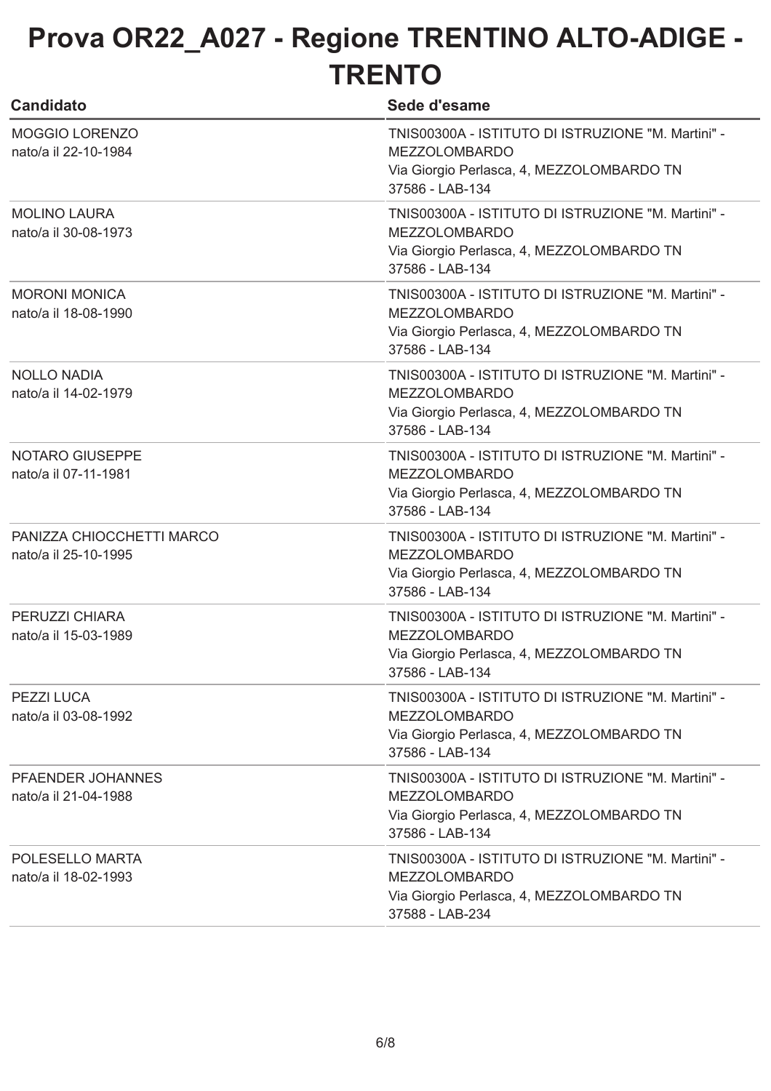| <b>Candidato</b>                                  | Sede d'esame                                                                                                                               |
|---------------------------------------------------|--------------------------------------------------------------------------------------------------------------------------------------------|
| <b>MOGGIO LORENZO</b><br>nato/a il 22-10-1984     | TNIS00300A - ISTITUTO DI ISTRUZIONE "M. Martini" -<br><b>MEZZOLOMBARDO</b><br>Via Giorgio Perlasca, 4, MEZZOLOMBARDO TN<br>37586 - LAB-134 |
| <b>MOLINO LAURA</b><br>nato/a il 30-08-1973       | TNIS00300A - ISTITUTO DI ISTRUZIONE "M. Martini" -<br><b>MEZZOLOMBARDO</b><br>Via Giorgio Perlasca, 4, MEZZOLOMBARDO TN<br>37586 - LAB-134 |
| <b>MORONI MONICA</b><br>nato/a il 18-08-1990      | TNIS00300A - ISTITUTO DI ISTRUZIONE "M. Martini" -<br><b>MEZZOLOMBARDO</b><br>Via Giorgio Perlasca, 4, MEZZOLOMBARDO TN<br>37586 - LAB-134 |
| <b>NOLLO NADIA</b><br>nato/a il 14-02-1979        | TNIS00300A - ISTITUTO DI ISTRUZIONE "M. Martini" -<br><b>MEZZOLOMBARDO</b><br>Via Giorgio Perlasca, 4, MEZZOLOMBARDO TN<br>37586 - LAB-134 |
| <b>NOTARO GIUSEPPE</b><br>nato/a il 07-11-1981    | TNIS00300A - ISTITUTO DI ISTRUZIONE "M. Martini" -<br><b>MEZZOLOMBARDO</b><br>Via Giorgio Perlasca, 4, MEZZOLOMBARDO TN<br>37586 - LAB-134 |
| PANIZZA CHIOCCHETTI MARCO<br>nato/a il 25-10-1995 | TNIS00300A - ISTITUTO DI ISTRUZIONE "M. Martini" -<br><b>MEZZOLOMBARDO</b><br>Via Giorgio Perlasca, 4, MEZZOLOMBARDO TN<br>37586 - LAB-134 |
| PERUZZI CHIARA<br>nato/a il 15-03-1989            | TNIS00300A - ISTITUTO DI ISTRUZIONE "M. Martini" -<br><b>MEZZOLOMBARDO</b><br>Via Giorgio Perlasca, 4, MEZZOLOMBARDO TN<br>37586 - LAB-134 |
| PEZZI LUCA<br>nato/a il 03-08-1992                | TNIS00300A - ISTITUTO DI ISTRUZIONE "M. Martini" -<br><b>MEZZOLOMBARDO</b><br>Via Giorgio Perlasca, 4, MEZZOLOMBARDO TN<br>37586 - LAB-134 |
| PFAENDER JOHANNES<br>nato/a il 21-04-1988         | TNIS00300A - ISTITUTO DI ISTRUZIONE "M. Martini" -<br><b>MEZZOLOMBARDO</b><br>Via Giorgio Perlasca, 4, MEZZOLOMBARDO TN<br>37586 - LAB-134 |
| POLESELLO MARTA<br>nato/a il 18-02-1993           | TNIS00300A - ISTITUTO DI ISTRUZIONE "M. Martini" -<br><b>MEZZOLOMBARDO</b><br>Via Giorgio Perlasca, 4, MEZZOLOMBARDO TN<br>37588 - LAB-234 |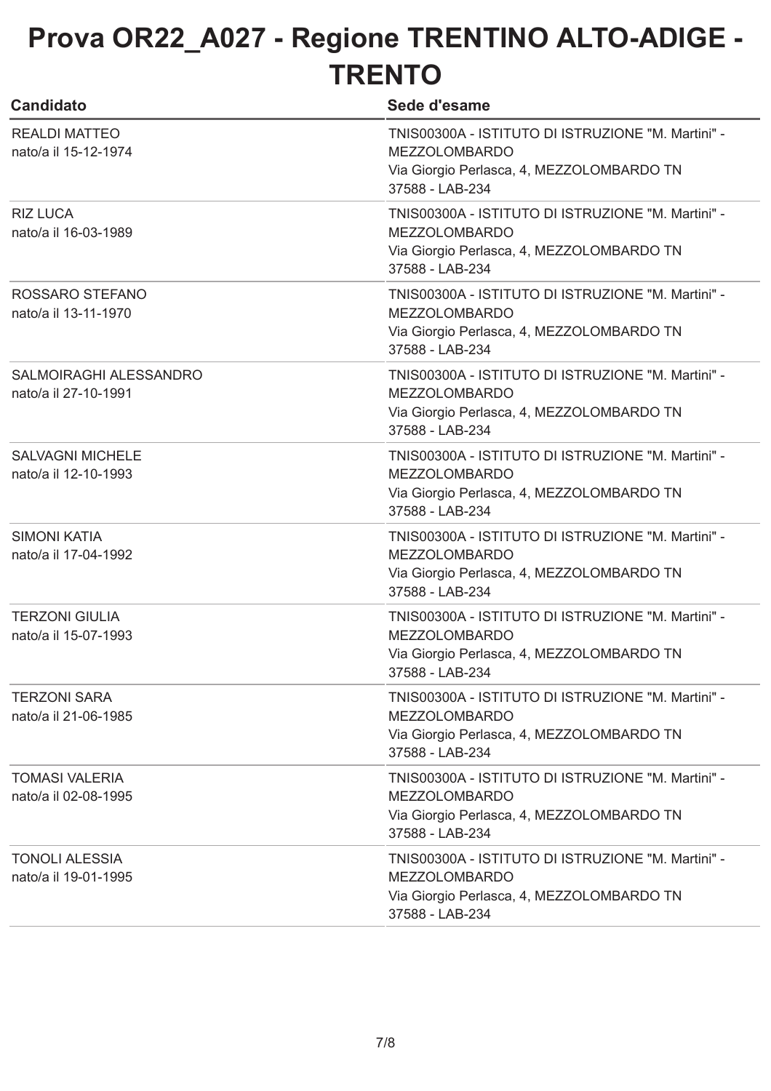| <b>Candidato</b>                                | Sede d'esame                                                                                                                               |
|-------------------------------------------------|--------------------------------------------------------------------------------------------------------------------------------------------|
| <b>REALDI MATTEO</b><br>nato/a il 15-12-1974    | TNIS00300A - ISTITUTO DI ISTRUZIONE "M. Martini" -<br><b>MEZZOLOMBARDO</b><br>Via Giorgio Perlasca, 4, MEZZOLOMBARDO TN<br>37588 - LAB-234 |
| <b>RIZ LUCA</b><br>nato/a il 16-03-1989         | TNIS00300A - ISTITUTO DI ISTRUZIONE "M. Martini" -<br><b>MEZZOLOMBARDO</b><br>Via Giorgio Perlasca, 4, MEZZOLOMBARDO TN<br>37588 - LAB-234 |
| ROSSARO STEFANO<br>nato/a il 13-11-1970         | TNIS00300A - ISTITUTO DI ISTRUZIONE "M. Martini" -<br><b>MEZZOLOMBARDO</b><br>Via Giorgio Perlasca, 4, MEZZOLOMBARDO TN<br>37588 - LAB-234 |
| SALMOIRAGHI ALESSANDRO<br>nato/a il 27-10-1991  | TNIS00300A - ISTITUTO DI ISTRUZIONE "M. Martini" -<br><b>MEZZOLOMBARDO</b><br>Via Giorgio Perlasca, 4, MEZZOLOMBARDO TN<br>37588 - LAB-234 |
| <b>SALVAGNI MICHELE</b><br>nato/a il 12-10-1993 | TNIS00300A - ISTITUTO DI ISTRUZIONE "M. Martini" -<br><b>MEZZOLOMBARDO</b><br>Via Giorgio Perlasca, 4, MEZZOLOMBARDO TN<br>37588 - LAB-234 |
| <b>SIMONI KATIA</b><br>nato/a il 17-04-1992     | TNIS00300A - ISTITUTO DI ISTRUZIONE "M. Martini" -<br><b>MEZZOLOMBARDO</b><br>Via Giorgio Perlasca, 4, MEZZOLOMBARDO TN<br>37588 - LAB-234 |
| <b>TERZONI GIULIA</b><br>nato/a il 15-07-1993   | TNIS00300A - ISTITUTO DI ISTRUZIONE "M. Martini" -<br><b>MEZZOLOMBARDO</b><br>Via Giorgio Perlasca, 4, MEZZOLOMBARDO TN<br>37588 - LAB-234 |
| <b>TERZONI SARA</b><br>nato/a il 21-06-1985     | TNIS00300A - ISTITUTO DI ISTRUZIONE "M. Martini" -<br><b>MEZZOLOMBARDO</b><br>Via Giorgio Perlasca, 4, MEZZOLOMBARDO TN<br>37588 - LAB-234 |
| <b>TOMASI VALERIA</b><br>nato/a il 02-08-1995   | TNIS00300A - ISTITUTO DI ISTRUZIONE "M. Martini" -<br><b>MEZZOLOMBARDO</b><br>Via Giorgio Perlasca, 4, MEZZOLOMBARDO TN<br>37588 - LAB-234 |
| <b>TONOLI ALESSIA</b><br>nato/a il 19-01-1995   | TNIS00300A - ISTITUTO DI ISTRUZIONE "M. Martini" -<br><b>MEZZOLOMBARDO</b><br>Via Giorgio Perlasca, 4, MEZZOLOMBARDO TN<br>37588 - LAB-234 |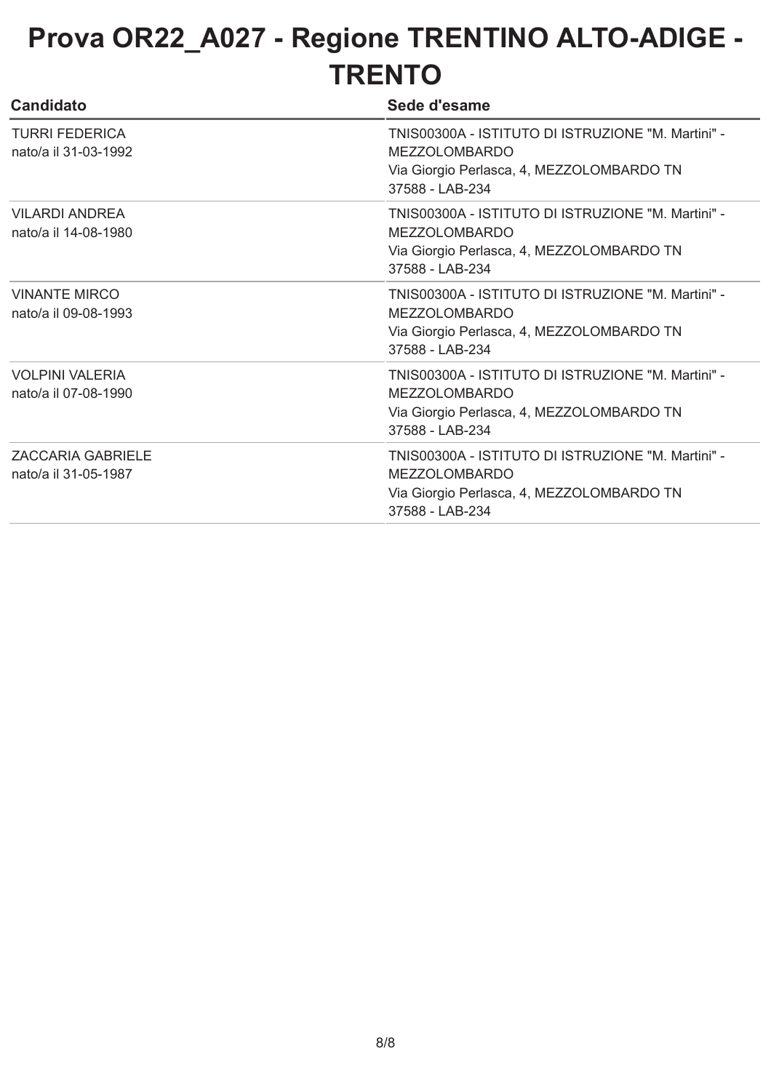| <b>Candidato</b>                                 | Sede d'esame                                                                                                                               |
|--------------------------------------------------|--------------------------------------------------------------------------------------------------------------------------------------------|
| <b>TURRI FEDERICA</b><br>nato/a il 31-03-1992    | TNIS00300A - ISTITUTO DI ISTRUZIONE "M. Martini" -<br><b>MEZZOLOMBARDO</b><br>Via Giorgio Perlasca, 4, MEZZOLOMBARDO TN<br>37588 - LAB-234 |
| <b>VILARDI ANDREA</b><br>nato/a il 14-08-1980    | TNIS00300A - ISTITUTO DI ISTRUZIONE "M. Martini" -<br><b>MEZZOLOMBARDO</b><br>Via Giorgio Perlasca, 4, MEZZOLOMBARDO TN<br>37588 - LAB-234 |
| <b>VINANTE MIRCO</b><br>nato/a il 09-08-1993     | TNIS00300A - ISTITUTO DI ISTRUZIONE "M. Martini" -<br><b>MEZZOLOMBARDO</b><br>Via Giorgio Perlasca, 4, MEZZOLOMBARDO TN<br>37588 - LAB-234 |
| <b>VOLPINI VALERIA</b><br>nato/a il 07-08-1990   | TNIS00300A - ISTITUTO DI ISTRUZIONE "M. Martini" -<br><b>MEZZOLOMBARDO</b><br>Via Giorgio Perlasca, 4, MEZZOLOMBARDO TN<br>37588 - LAB-234 |
| <b>ZACCARIA GABRIELE</b><br>nato/a il 31-05-1987 | TNIS00300A - ISTITUTO DI ISTRUZIONE "M. Martini" -<br><b>MEZZOLOMBARDO</b><br>Via Giorgio Perlasca, 4, MEZZOLOMBARDO TN<br>37588 - LAB-234 |